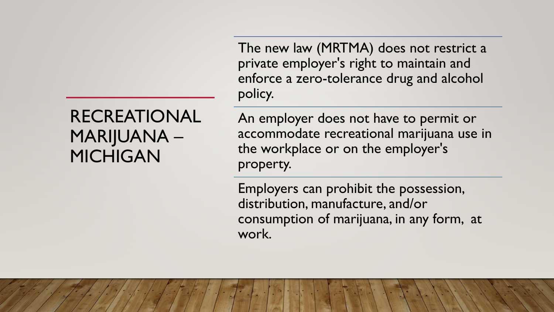The new law (MRTMA) does not restrict a private employer's right to maintain and enforce a zero-tolerance drug and alcohol policy.

### RECREATIONAL MARIJUANA – MICHIGAN

An employer does not have to permit or accommodate recreational marijuana use in the workplace or on the employer's property.

Employers can prohibit the possession, distribution, manufacture, and/or consumption of marijuana, in any form, at work.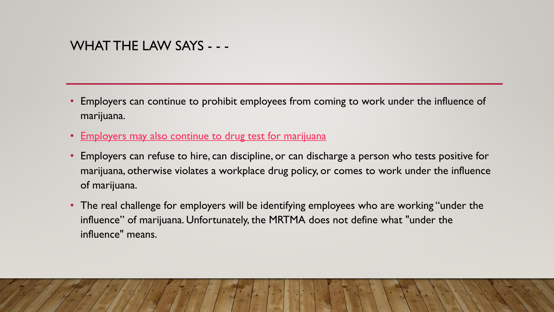### WHAT THE LAW SAYS - - -

- Employers can continue to prohibit employees from coming to work under the influence of marijuana.
- Employers [may also continue to drug test for marijuana](https://www.varnumlaw.com/newsroom-publications-marijuana-and-the-workplace-thc-breathalyzers)
- Employers can refuse to hire, can discipline, or can discharge a person who tests positive for marijuana, otherwise violates a workplace drug policy, or comes to work under the influence of marijuana.
- The real challenge for employers will be identifying employees who are working "under the influence" of marijuana. Unfortunately, the MRTMA does not define what "under the influence" means.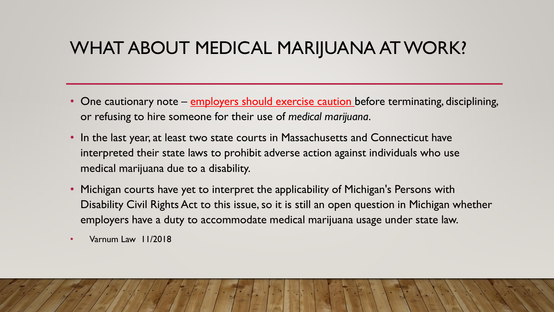## WHAT ABOUT MEDICAL MARIJUANA AT WORK?

- One cautionary note employers should exercise caution before terminating, disciplining, or refusing to hire someone for their use of *medical marijuana*.
- In the last year, at least two state courts in Massachusetts and Connecticut have interpreted their state laws to prohibit adverse action against individuals who use medical marijuana due to a disability.
- Michigan courts have yet to interpret the applicability of Michigan's Persons with Disability Civil Rights Act to this issue, so it is still an open question in Michigan whether employers have a duty to accommodate medical marijuana usage under state law.
- Varnum Law 11/2018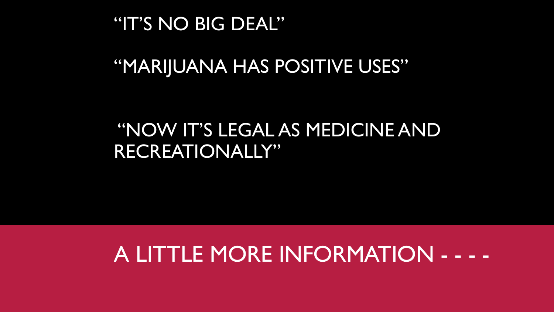## "IT'S NO BIG DEAL"

# "MARIJUANA HAS POSITIVE USES"

# "NOW IT'S LEGAL AS MEDICINE AND RECREATIONALLY"

# A LITTLE MORE INFORMATION - - - -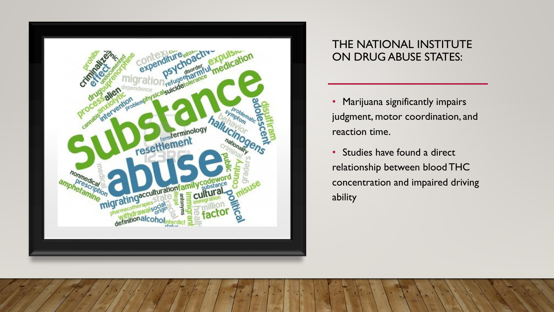

### THE NATIONAL INSTITUTE ON DRUG ABUSE STATES:

- Marijuana significantly impairs judgment, motor coordination, and reaction time.
- Studies have found a direct relationship between blood THC concentration and impaired driving ability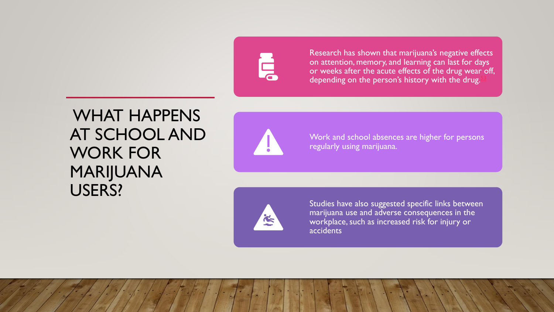# Ę

Research has shown that marijuana's negative effects on attention, memory, and learning can last for days or weeks after the acute effects of the drug wear off, depending on the person's history with the drug.

### WHAT HAPPENS AT SCHOOL AND WORK FOR MARIJUANA USERS?



Work and school absences are higher for persons regularly using marijuana.



Studies have also suggested specific links between marijuana use and adverse consequences in the workplace, such as increased risk for injury or accidents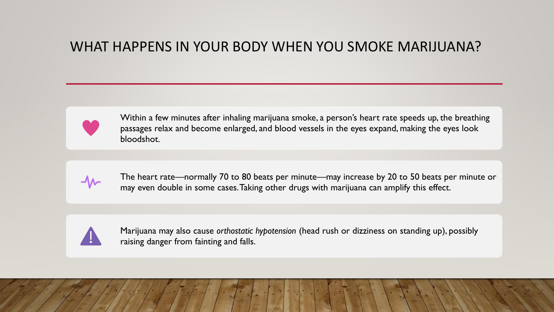### WHAT HAPPENS IN YOUR BODY WHEN YOU SMOKE MARIJUANA?



Within a few minutes after inhaling marijuana smoke, a person's heart rate speeds up, the breathing passages relax and become enlarged, and blood vessels in the eyes expand, making the eyes look bloodshot.



The heart rate—normally 70 to 80 beats per minute—may increase by 20 to 50 beats per minute or may even double in some cases. Taking other drugs with marijuana can amplify this effect.



Marijuana may also cause *orthostatic hypotension* (head rush or dizziness on standing up), possibly raising danger from fainting and falls.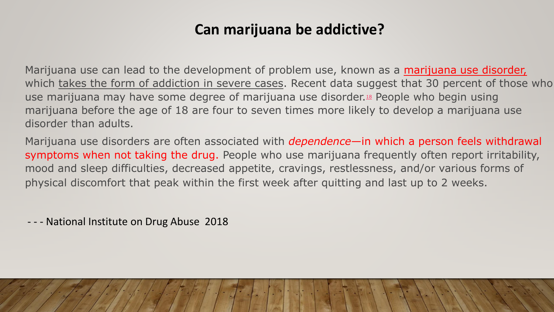### **Can marijuana be addictive?**

Marijuana use can lead to the development of problem use, known as a marijuana use disorder, which takes the form of addiction in severe cases. Recent data suggest that 30 percent of those who use marijuana may have some degree of marijuana use disorder.<sup>[18](https://www.drugabuse.gov/publications/research-reports/marijuana/references)</sup> People who begin using marijuana before the age of 18 are four to seven times more likely to develop a marijuana use disorder than adults.

Marijuana use disorders are often associated with *dependence*—in which a person feels withdrawal symptoms when not taking the drug. People who use marijuana frequently often report irritability, mood and sleep difficulties, decreased appetite, cravings, restlessness, and/or various forms of physical discomfort that peak within the first week after quitting and last up to 2 weeks.

- - - National Institute on Drug Abuse 2018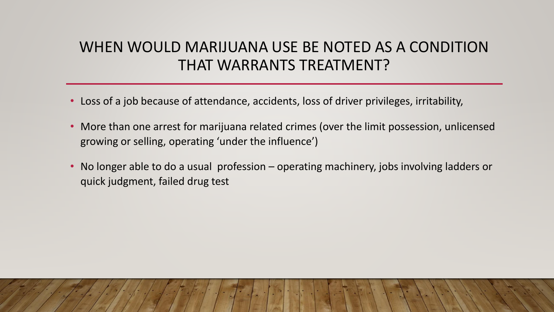### WHEN WOULD MARIJUANA USE BE NOTED AS A CONDITION THAT WARRANTS TREATMENT?

- Loss of a job because of attendance, accidents, loss of driver privileges, irritability,
- More than one arrest for marijuana related crimes (over the limit possession, unlicensed growing or selling, operating 'under the influence')
- No longer able to do a usual profession operating machinery, jobs involving ladders or quick judgment, failed drug test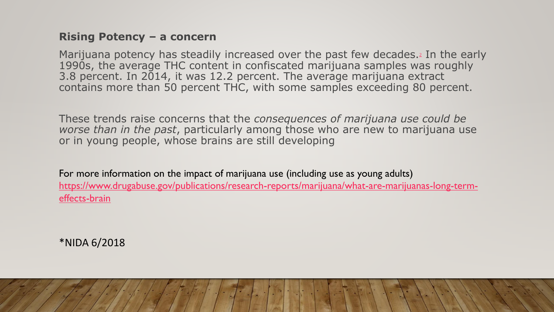#### **Rising Potency – a concern**

Marijuana potency has steadily increased over the past few decades.<sup>[2](https://www.drugabuse.gov/publications/research-reports/marijuana/references)</sup> In the early 1990s, the average THC content in confiscated marijuana samples was roughly 3.8 percent. In 2014, it was 12.2 percent. The average marijuana extract contains more than 50 percent THC, with some samples exceeding 80 percent.

These trends raise concerns that the *consequences of marijuana use could be worse than in the past*, particularly among those who are new to marijuana use or in young people, whose brains are still developing

For more information on the impact of marijuana use (including use as young adults) [https://www.drugabuse.gov/publications/research-reports/marijuana/what-are-marijuanas-long-term](https://www.drugabuse.gov/publications/research-reports/marijuana/what-are-marijuanas-long-term-effects-brain)effects-brain

\*NIDA 6/2018